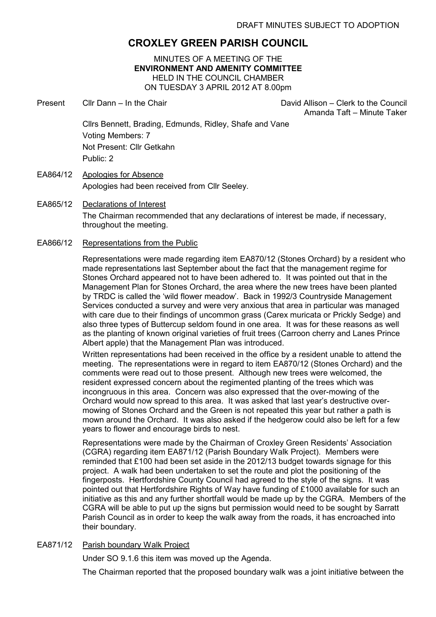# CROXLEY GREEN PARISH COUNCIL

MINUTES OF A MEETING OF THE ENVIRONMENT AND AMENITY COMMITTEE HELD IN THE COUNCIL CHAMBER ON TUESDAY 3 APRIL 2012 AT 8.00pm

Present Cllr Dann – In the Chair David Allison – Clerk to the Council

Amanda Taft – Minute Taker

Cllrs Bennett, Brading, Edmunds, Ridley, Shafe and Vane Voting Members: 7 Not Present: Cllr Getkahn Public: 2

- EA864/12 Apologies for Absence Apologies had been received from Cllr Seeley.
- EA865/12 Declarations of Interest The Chairman recommended that any declarations of interest be made, if necessary, throughout the meeting.
- EA866/12 Representations from the Public

Representations were made regarding item EA870/12 (Stones Orchard) by a resident who made representations last September about the fact that the management regime for Stones Orchard appeared not to have been adhered to. It was pointed out that in the Management Plan for Stones Orchard, the area where the new trees have been planted by TRDC is called the 'wild flower meadow'. Back in 1992/3 Countryside Management Services conducted a survey and were very anxious that area in particular was managed with care due to their findings of uncommon grass (Carex muricata or Prickly Sedge) and also three types of Buttercup seldom found in one area. It was for these reasons as well as the planting of known original varieties of fruit trees (Carroon cherry and Lanes Prince Albert apple) that the Management Plan was introduced.

Written representations had been received in the office by a resident unable to attend the meeting. The representations were in regard to item EA870/12 (Stones Orchard) and the comments were read out to those present. Although new trees were welcomed, the resident expressed concern about the regimented planting of the trees which was incongruous in this area. Concern was also expressed that the over-mowing of the Orchard would now spread to this area. It was asked that last year's destructive overmowing of Stones Orchard and the Green is not repeated this year but rather a path is mown around the Orchard. It was also asked if the hedgerow could also be left for a few years to flower and encourage birds to nest.

Representations were made by the Chairman of Croxley Green Residents' Association (CGRA) regarding item EA871/12 (Parish Boundary Walk Project). Members were reminded that £100 had been set aside in the 2012/13 budget towards signage for this project. A walk had been undertaken to set the route and plot the positioning of the fingerposts. Hertfordshire County Council had agreed to the style of the signs. It was pointed out that Hertfordshire Rights of Way have funding of £1000 available for such an initiative as this and any further shortfall would be made up by the CGRA. Members of the CGRA will be able to put up the signs but permission would need to be sought by Sarratt Parish Council as in order to keep the walk away from the roads, it has encroached into their boundary.

## EA871/12 Parish boundary Walk Project

Under SO 9.1.6 this item was moved up the Agenda.

The Chairman reported that the proposed boundary walk was a joint initiative between the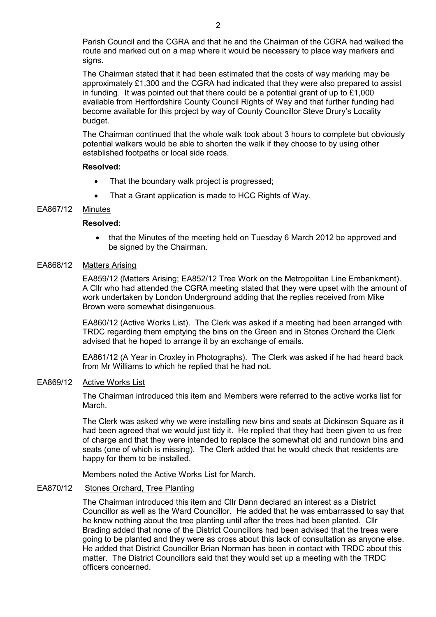Parish Council and the CGRA and that he and the Chairman of the CGRA had walked the route and marked out on a map where it would be necessary to place way markers and signs.

The Chairman stated that it had been estimated that the costs of way marking may be approximately £1,300 and the CGRA had indicated that they were also prepared to assist in funding. It was pointed out that there could be a potential grant of up to  $£1,000$ available from Hertfordshire County Council Rights of Way and that further funding had become available for this project by way of County Councillor Steve Drury's Locality budget.

The Chairman continued that the whole walk took about 3 hours to complete but obviously potential walkers would be able to shorten the walk if they choose to by using other established footpaths or local side roads.

#### Resolved:

- That the boundary walk project is progressed;
- That a Grant application is made to HCC Rights of Way.

## EA867/12 Minutes

## Resolved:

• that the Minutes of the meeting held on Tuesday 6 March 2012 be approved and be signed by the Chairman.

#### EA868/12 Matters Arising

EA859/12 (Matters Arising; EA852/12 Tree Work on the Metropolitan Line Embankment). A Cllr who had attended the CGRA meeting stated that they were upset with the amount of work undertaken by London Underground adding that the replies received from Mike Brown were somewhat disingenuous.

EA860/12 (Active Works List). The Clerk was asked if a meeting had been arranged with TRDC regarding them emptying the bins on the Green and in Stones Orchard the Clerk advised that he hoped to arrange it by an exchange of emails.

EA861/12 (A Year in Croxley in Photographs). The Clerk was asked if he had heard back from Mr Williams to which he replied that he had not.

## EA869/12 Active Works List

The Chairman introduced this item and Members were referred to the active works list for March.

The Clerk was asked why we were installing new bins and seats at Dickinson Square as it had been agreed that we would just tidy it. He replied that they had been given to us free of charge and that they were intended to replace the somewhat old and rundown bins and seats (one of which is missing). The Clerk added that he would check that residents are happy for them to be installed.

Members noted the Active Works List for March.

#### EA870/12 Stones Orchard, Tree Planting

The Chairman introduced this item and Cllr Dann declared an interest as a District Councillor as well as the Ward Councillor. He added that he was embarrassed to say that he knew nothing about the tree planting until after the trees had been planted. Cllr Brading added that none of the District Councillors had been advised that the trees were going to be planted and they were as cross about this lack of consultation as anyone else. He added that District Councillor Brian Norman has been in contact with TRDC about this matter. The District Councillors said that they would set up a meeting with the TRDC officers concerned.